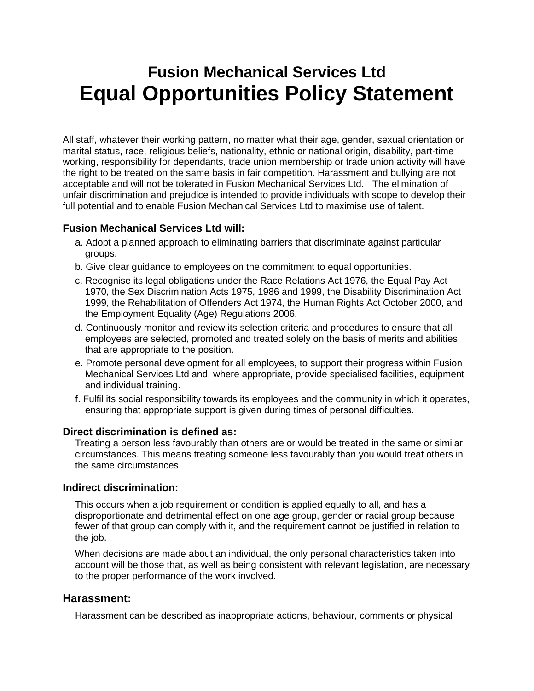# **Fusion Mechanical Services Ltd Equal Opportunities Policy Statement**

All staff, whatever their working pattern, no matter what their age, gender, sexual orientation or marital status, race, religious beliefs, nationality, ethnic or national origin, disability, part-time working, responsibility for dependants, trade union membership or trade union activity will have the right to be treated on the same basis in fair competition. Harassment and bullying are not acceptable and will not be tolerated in Fusion Mechanical Services Ltd. The elimination of unfair discrimination and prejudice is intended to provide individuals with scope to develop their full potential and to enable Fusion Mechanical Services Ltd to maximise use of talent.

### **Fusion Mechanical Services Ltd will:**

- a. Adopt a planned approach to eliminating barriers that discriminate against particular groups.
- b. Give clear guidance to employees on the commitment to equal opportunities.
- c. Recognise its legal obligations under the Race Relations Act 1976, the Equal Pay Act 1970, the Sex Discrimination Acts 1975, 1986 and 1999, the Disability Discrimination Act 1999, the Rehabilitation of Offenders Act 1974, the Human Rights Act October 2000, and the Employment Equality (Age) Regulations 2006.
- d. Continuously monitor and review its selection criteria and procedures to ensure that all employees are selected, promoted and treated solely on the basis of merits and abilities that are appropriate to the position.
- e. Promote personal development for all employees, to support their progress within Fusion Mechanical Services Ltd and, where appropriate, provide specialised facilities, equipment and individual training.
- f. Fulfil its social responsibility towards its employees and the community in which it operates, ensuring that appropriate support is given during times of personal difficulties.

#### **Direct discrimination is defined as:**

Treating a person less favourably than others are or would be treated in the same or similar circumstances. This means treating someone less favourably than you would treat others in the same circumstances.

#### **Indirect discrimination:**

This occurs when a job requirement or condition is applied equally to all, and has a disproportionate and detrimental effect on one age group, gender or racial group because fewer of that group can comply with it, and the requirement cannot be justified in relation to the job.

When decisions are made about an individual, the only personal characteristics taken into account will be those that, as well as being consistent with relevant legislation, are necessary to the proper performance of the work involved.

## **Harassment:**

Harassment can be described as inappropriate actions, behaviour, comments or physical